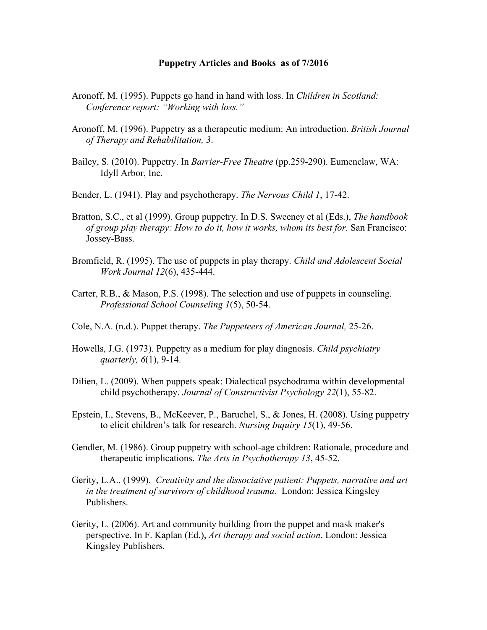## **Puppetry Articles and Books as of 7/2016**

- Aronoff, M. (1995). Puppets go hand in hand with loss. In *Children in Scotland: Conference report: "Working with loss."*
- Aronoff, M. (1996). Puppetry as a therapeutic medium: An introduction. *British Journal of Therapy and Rehabilitation, 3*.
- Bailey, S. (2010). Puppetry. In *Barrier-Free Theatre* (pp.259-290). Eumenclaw, WA: Idyll Arbor, Inc.
- Bender, L. (1941). Play and psychotherapy. *The Nervous Child 1*, 17-42.
- Bratton, S.C., et al (1999). Group puppetry. In D.S. Sweeney et al (Eds.), *The handbook of group play therapy: How to do it, how it works, whom its best for.* San Francisco: Jossey-Bass.
- Bromfield, R. (1995). The use of puppets in play therapy. *Child and Adolescent Social Work Journal 12*(6), 435-444.
- Carter, R.B., & Mason, P.S. (1998). The selection and use of puppets in counseling. *Professional School Counseling 1*(5), 50-54.
- Cole, N.A. (n.d.). Puppet therapy. *The Puppeteers of American Journal,* 25-26.
- Howells, J.G. (1973). Puppetry as a medium for play diagnosis. *Child psychiatry quarterly, 6*(1), 9-14.
- Dilien, L. (2009). When puppets speak: Dialectical psychodrama within developmental child psychotherapy. *Journal of Constructivist Psychology 22*(1), 55-82.
- Epstein, I., Stevens, B., McKeever, P., Baruchel, S., & Jones, H. (2008). Using puppetry to elicit children's talk for research. *Nursing Inquiry 15*(1), 49-56.
- Gendler, M. (1986). Group puppetry with school-age children: Rationale, procedure and therapeutic implications. *The Arts in Psychotherapy 13*, 45-52.
- Gerity, L.A., (1999). *Creativity and the dissociative patient: Puppets, narrative and art in the treatment of survivors of childhood trauma.* London: Jessica Kingsley Publishers.
- Gerity, L. (2006). Art and community building from the puppet and mask maker's perspective. In F. Kaplan (Ed.), *Art therapy and social action*. London: Jessica Kingsley Publishers.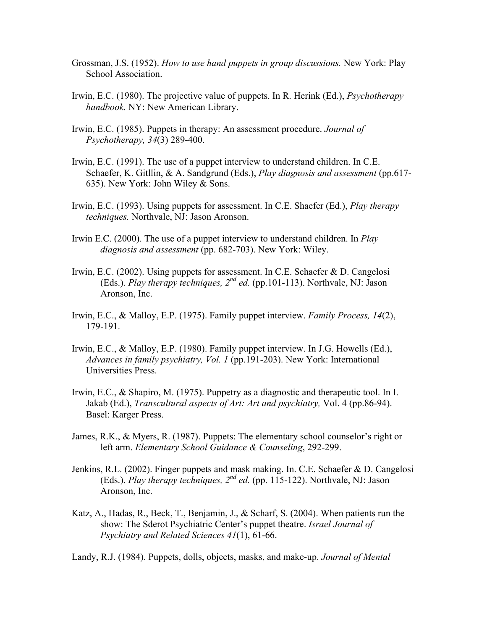- Grossman, J.S. (1952). *How to use hand puppets in group discussions.* New York: Play School Association.
- Irwin, E.C. (1980). The projective value of puppets. In R. Herink (Ed.), *Psychotherapy handbook.* NY: New American Library.
- Irwin, E.C. (1985). Puppets in therapy: An assessment procedure. *Journal of Psychotherapy, 34*(3) 289-400.
- Irwin, E.C. (1991). The use of a puppet interview to understand children. In C.E. Schaefer, K. Gitllin, & A. Sandgrund (Eds.), *Play diagnosis and assessment* (pp.617- 635). New York: John Wiley & Sons.
- Irwin, E.C. (1993). Using puppets for assessment. In C.E. Shaefer (Ed.), *Play therapy techniques.* Northvale, NJ: Jason Aronson.
- Irwin E.C. (2000). The use of a puppet interview to understand children. In *Play diagnosis and assessment* (pp. 682-703). New York: Wiley.
- Irwin, E.C. (2002). Using puppets for assessment. In C.E. Schaefer & D. Cangelosi (Eds.). *Play therapy techniques,*  $2^{nd}$  *ed.* (pp.101-113). Northvale, NJ: Jason Aronson, Inc.
- Irwin, E.C., & Malloy, E.P. (1975). Family puppet interview. *Family Process, 14*(2), 179-191.
- Irwin, E.C., & Malloy, E.P. (1980). Family puppet interview. In J.G. Howells (Ed.), *Advances in family psychiatry, Vol. 1* (pp.191-203). New York: International Universities Press.
- Irwin, E.C., & Shapiro, M. (1975). Puppetry as a diagnostic and therapeutic tool. In I. Jakab (Ed.), *Transcultural aspects of Art: Art and psychiatry,* Vol. 4 (pp.86-94). Basel: Karger Press.
- James, R.K., & Myers, R. (1987). Puppets: The elementary school counselor's right or left arm. *Elementary School Guidance & Counseling*, 292-299.
- Jenkins, R.L. (2002). Finger puppets and mask making. In. C.E. Schaefer & D. Cangelosi (Eds.). *Play therapy techniques, 2nd ed.* (pp. 115-122). Northvale, NJ: Jason Aronson, Inc.
- Katz, A., Hadas, R., Beck, T., Benjamin, J., & Scharf, S. (2004). When patients run the show: The Sderot Psychiatric Center's puppet theatre. *Israel Journal of Psychiatry and Related Sciences 41*(1), 61-66.

Landy, R.J. (1984). Puppets, dolls, objects, masks, and make-up. *Journal of Mental*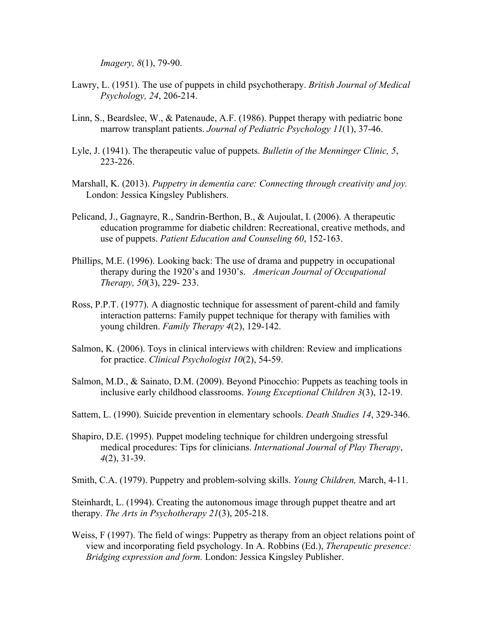*Imagery, 8*(1), 79-90.

- Lawry, L. (1951). The use of puppets in child psychotherapy. *British Journal of Medical Psychology, 24*, 206-214.
- Linn, S., Beardslee, W., & Patenaude, A.F. (1986). Puppet therapy with pediatric bone marrow transplant patients. *Journal of Pediatric Psychology 11*(1), 37-46.
- Lyle, J. (1941). The therapeutic value of puppets. *Bulletin of the Menninger Clinic, 5*, 223-226.
- Marshall, K. (2013). *Puppetry in dementia care: Connecting through creativity and joy.*  London: Jessica Kingsley Publishers.
- Pelicand, J., Gagnayre, R., Sandrin-Berthon, B., & Aujoulat, I. (2006). A therapeutic education programme for diabetic children: Recreational, creative methods, and use of puppets. *Patient Education and Counseling 60*, 152-163.
- Phillips, M.E. (1996). Looking back: The use of drama and puppetry in occupational therapy during the 1920's and 1930's. *American Journal of Occupational Therapy, 50*(3), 229- 233.
- Ross, P.P.T. (1977). A diagnostic technique for assessment of parent-child and family interaction patterns: Family puppet technique for therapy with families with young children. *Family Therapy 4*(2), 129-142.
- Salmon, K. (2006). Toys in clinical interviews with children: Review and implications for practice. *Clinical Psychologist 10*(2), 54-59.
- Salmon, M.D., & Sainato, D.M. (2009). Beyond Pinocchio: Puppets as teaching tools in inclusive early childhood classrooms. *Young Exceptional Children 3*(3), 12-19.
- Sattem, L. (1990). Suicide prevention in elementary schools. *Death Studies 14*, 329-346.
- Shapiro, D.E. (1995). Puppet modeling technique for children undergoing stressful medical procedures: Tips for clinicians. *International Journal of Play Therapy*, *4*(2), 31-39.

Smith, C.A. (1979). Puppetry and problem-solving skills. *Young Children,* March, 4-11.

Steinhardt, L. (1994). Creating the autonomous image through puppet theatre and art therapy. *The Arts in Psychotherapy 21*(3), 205-218.

Weiss, F (1997). The field of wings: Puppetry as therapy from an object relations point of view and incorporating field psychology. In A. Robbins (Ed.), *Therapeutic presence: Bridging expression and form.* London: Jessica Kingsley Publisher.